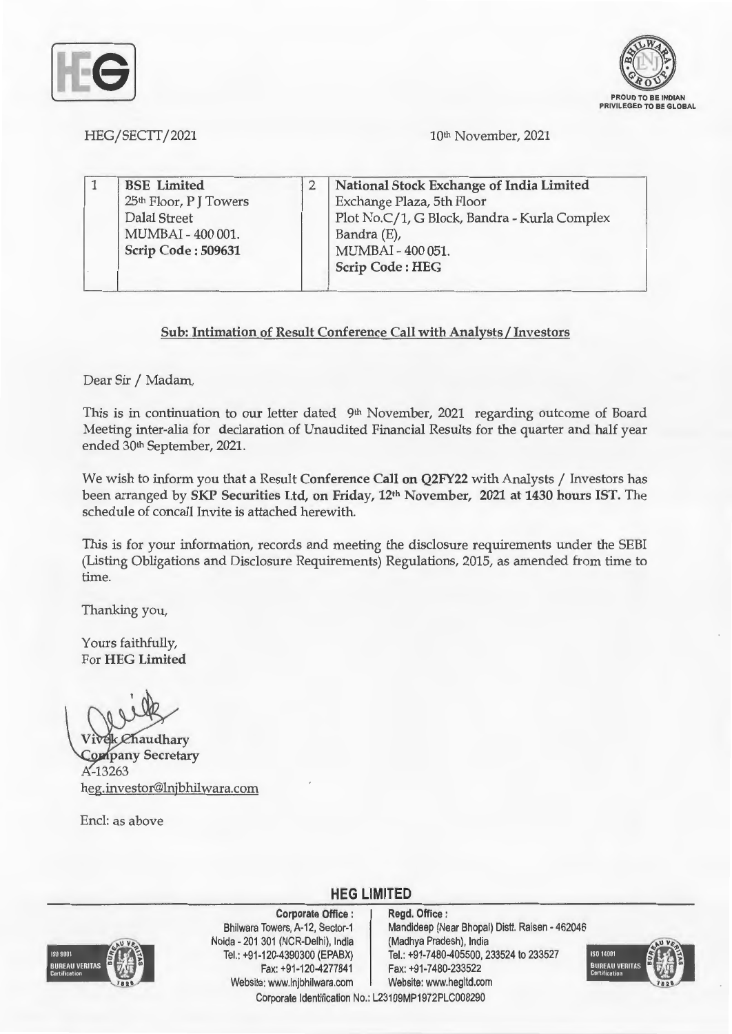



HEG/SECTT/2021

lQth November, 2021

|  | <b>BSE</b> Limited     | National Stock Exchange of India Limited     |
|--|------------------------|----------------------------------------------|
|  | 25th Floor, P J Towers | Exchange Plaza, 5th Floor                    |
|  | Dalal Street           | Plot No.C/1, G Block, Bandra - Kurla Complex |
|  | MUMBAI - 400 001.      | Bandra (E),                                  |
|  | Scrip Code: 509631     | MUMBAI - 400 051.                            |
|  |                        | <b>Scrip Code: HEG</b>                       |

## **Sub: Intimation of Result Conference Call with Analysts/ Investors**

Dear Sir / Madam,

This is in continuation to our letter dated 9<sup>th</sup> November, 2021 regarding outcome of Board Meeting inter-alia for declaration of Unaudited Financial Results for the quarter and half year ended 30<sup>th</sup> September, 2021.

We wish to inform you that a Result **Conference Call on Q2FY22** with Analysts / Investors has been arranged by **SKP Securities Ltd, on Friday, 12th November, 2021 at 1430 hours IST.** The schedule of concall Invite is attached herewith.

This is for your information, records and meeting the disclosure requirements under the SEBI (Listing Obligations and Disclosure Requirements) Regulations, 2015, as amended from time to time.

Thanking you,

Yours faithfully, For **HEG Limited** 

*ehaudhary* **Company Secretary**  $A - 13263$ heg.investor@lnjbhilwara.com

Encl: as above



**Corporate Office** : Bhilwara Towers, A-12, Sector-1 Naida - 201 301 (NCR-Delhi), India Tel.: +91 -120-4390300 (EPABX) Fax: +91 -120-4277841 Website: www.lnjbhilwara.com | Website: www.hegltd.com

**Regd. Office** : Mandideep (Near Bhopal) Distt. Raisen - 462046 (Madhya Pradesh), India Tel.: +91-7480-405500, 233524 to 233527 Fax: +91-7480-233522



Corporate Identification No.: L23109MP1972PLC008290

**HEG LIMITED**